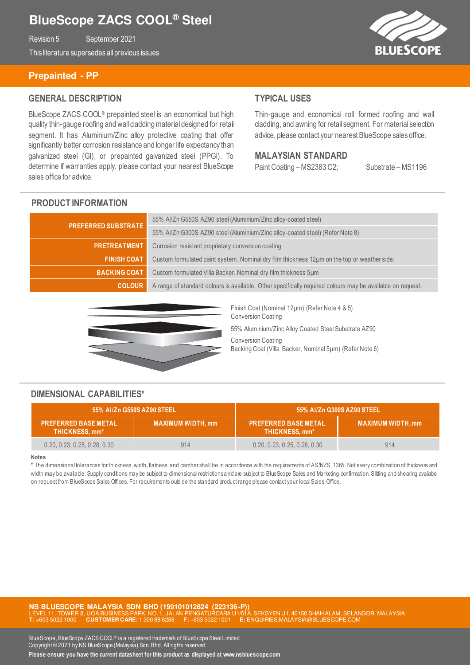# **BlueScope ZACS COOL® Steel**

Revision 5 September 2021

This literature supersedes all previous issues

## **Prepainted - PP**

### **GENERAL DESCRIPTION**

BlueScope ZACS COOL® prepainted steel is an economical but high quality thin-gauge roofing and wall cladding material designed for retail segment. It has Aluminium/Zinc alloy protective coating that offer significantly better corrosion resistance and longer life expectancy than galvanized steel (GI), or prepainted galvanized steel (PPGI). To determine if warranties apply, please contact your nearest BlueScope sales office for advice.

### **TYPICAL USES**

Thin-gauge and economical roll formed roofing and wall cladding, and awning for retail segment. For material selection advice, please contact your nearest BlueScope sales office.

#### **MALAYSIAN STANDARD**

Paint Coating – MS2383 C2; Substrate – MS1196

#### **PRODUCT INFORMATION**

| <b>PREFERRED SUBSTRATE</b> | 55% Al/Zn G550S AZ90 steel (Aluminium/Zinc alloy-coated steel)                                             |  |
|----------------------------|------------------------------------------------------------------------------------------------------------|--|
|                            | 55% Al/Zn G300S AZ90 steel (Aluminium/Zinc alloy-coated steel) (Refer Note 8)                              |  |
| <b>PRETREATMENT</b>        | Corrosion resistant proprietary conversion coating                                                         |  |
| <b>FINISH COAT</b>         | Custom formulated paint system. Nominal dry film thickness 12µm on the top or weather side.                |  |
| <b>BACKING COAT</b>        | Custom formulated Villa Backer. Nominal dry film thickness 5um                                             |  |
| <b>COLOUR</b>              | A range of standard colours is available. Other specifically required colours may be available on request. |  |



Finish Coat (Nominal 12µm) (Refer Note 4 & 5) Conversion Coating

55% Aluminium/Zinc Alloy Coated Steel Substrate AZ90

Conversion Coating Backing Coat (Villa Backer, Nominal 5µm) (Refer Note 6)

### **DIMENSIONAL CAPABILITIES\***

| 55% Al/Zn G550S AZ90 STEEL                    |                          | 55% Al/Zn G300S AZ90 STEEL                           |                         |
|-----------------------------------------------|--------------------------|------------------------------------------------------|-------------------------|
| <b>PREFERRED BASE METAL</b><br>THICKNESS, mm* | <b>MAXIMUM WIDTH, mm</b> | <b>PREFERRED BASE METAL</b><br><b>THICKNESS, mm*</b> | <b>MAXIMUM WIDTH.mm</b> |
| 0.20, 0.23, 0.25, 0.28, 0.30                  | 914                      | 0.20, 0.23, 0.25, 0.28, 0.30                         | 914                     |

#### **Notes**

\* The dimensional tolerances for thickness, width, flatness, and camber shall be in accordance with the requirements of AS/NZS 1365. Not every combination of thickness and width may be available. Supply conditions may be subject to dimensional restrictions and are subject to BlueScope Sales and Marketing confirmation. Slitting and shearing available on request from BlueScope Sales Offices. For requirements outside the standard product range please contact your local Sales Office.

**NS BLUESCOPE MALAYSIA SDN BHD (199101012824 (223136-P))**  LEVEN U1, 40150 SHAH ALAM, SELANGOR, MALAYSIA **T:** +603 5022 1000 **CUSTOMER CARE:** 1 300 88 6288 **F:** +603 5022 1001 **E:** ENQUIRIES.MALAYSIA@BLUESCOPE.COM

BlueScope, BlueScope ZACS COOL® is a registered trademark of BlueScope Steel Limited. Copyright © 2021 by NS BlueScope (Malaysia) Sdn. Bhd. All rights reserved.

**Please ensure you have the current datasheet for this product as displayed at www.nsbluescope.com** 

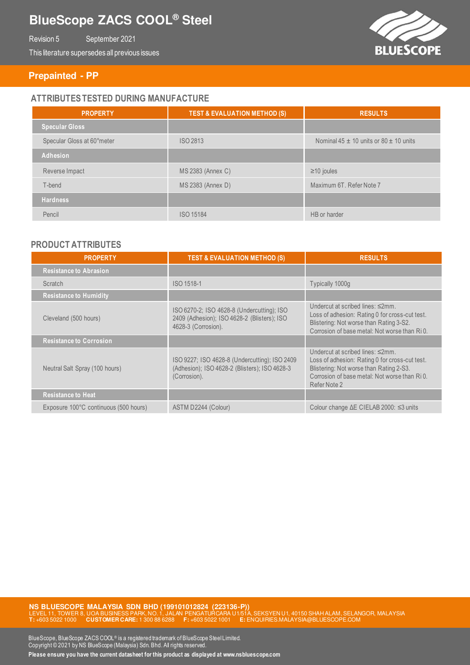# **BlueScope ZACS COOL® Steel**

Revision 5 September 2021

This literature supersedes all previous issues



### **Prepainted - PP**

### **ATTRIBUTES TESTED DURING MANUFACTURE**

| <b>PROPERTY</b>            | <b>TEST &amp; EVALUATION METHOD (S)</b> | <b>RESULTS</b>                                 |
|----------------------------|-----------------------------------------|------------------------------------------------|
| <b>Specular Gloss</b>      |                                         |                                                |
| Specular Gloss at 60°meter | ISO 2813                                | Nominal $45 \pm 10$ units or $80 \pm 10$ units |
| <b>Adhesion</b>            |                                         |                                                |
| Reverse Impact             | MS 2383 (Annex C)                       | $\geq$ 10 joules                               |
| T-bend                     | MS 2383 (Annex D)                       | Maximum 6T. Refer Note 7                       |
| <b>Hardness</b>            |                                         |                                                |
| Pencil                     | ISO 15184                               | HB or harder                                   |

### **PRODUCT ATTRIBUTES**

| <b>PROPERTY</b>                       | <b>TEST &amp; EVALUATION METHOD (S)</b>                                                                          | <b>RESULTS</b>                                                                                                                                                                                                    |
|---------------------------------------|------------------------------------------------------------------------------------------------------------------|-------------------------------------------------------------------------------------------------------------------------------------------------------------------------------------------------------------------|
| <b>Resistance to Abrasion</b>         |                                                                                                                  |                                                                                                                                                                                                                   |
| Scratch                               | ISO 1518-1                                                                                                       | Typically 1000g                                                                                                                                                                                                   |
| <b>Resistance to Humidity</b>         |                                                                                                                  |                                                                                                                                                                                                                   |
| Cleveland (500 hours)                 | ISO 6270-2; ISO 4628-8 (Undercutting); ISO<br>2409 (Adhesion); ISO 4628-2 (Blisters); ISO<br>4628-3 (Corrosion). | Undercut at scribed lines: $\leq 2$ mm.<br>Loss of adhesion: Rating 0 for cross-cut test.<br>Blistering: Not worse than Rating 3-S2.<br>Corrosion of base metal: Not worse than RiO.                              |
| <b>Resistance to Corrosion</b>        |                                                                                                                  |                                                                                                                                                                                                                   |
| Neutral Salt Spray (100 hours)        | ISO 9227; ISO 4628-8 (Undercutting); ISO 2409<br>(Adhesion); ISO 4628-2 (Blisters); ISO 4628-3<br>(Corrosion).   | Undercut at scribed lines: $\leq 2$ mm.<br>Loss of adhesion: Rating 0 for cross-cut test.<br>Blistering: Not worse than Rating 2-S3.<br>Corrosion of base metal: Not worse than Ri <sub>0</sub> .<br>Refer Note 2 |
| <b>Resistance to Heat</b>             |                                                                                                                  |                                                                                                                                                                                                                   |
| Exposure 100°C continuous (500 hours) | ASTM D2244 (Colour)                                                                                              | Colour change ∆E CIELAB 2000: ≤3 units                                                                                                                                                                            |

**NS BLUESCOPE MALAYSIA SDN BHD (199101012824 (223136-P))**<br>LEVEL 11, TOWER 8, UOA BUSINESS PARK, NO. 1, JALAN PENGATURCARA U1/51A, SEKSYEN U1, 40150 SHAH ALAM, SELANGOR, MALAYSIA **T:** +603 5022 1000 **CUSTOMER CARE:** 1 300 88 6288 **F:** +603 5022 1001 **E:** ENQUIRIES.MALAYSIA@BLUESCOPE.COM

BlueScope, BlueScope ZACS COOL® is a registered trademark of BlueScope Steel Limited. Copyright © 2021 by NS BlueScope (Malaysia) Sdn. Bhd. All rights reserved.